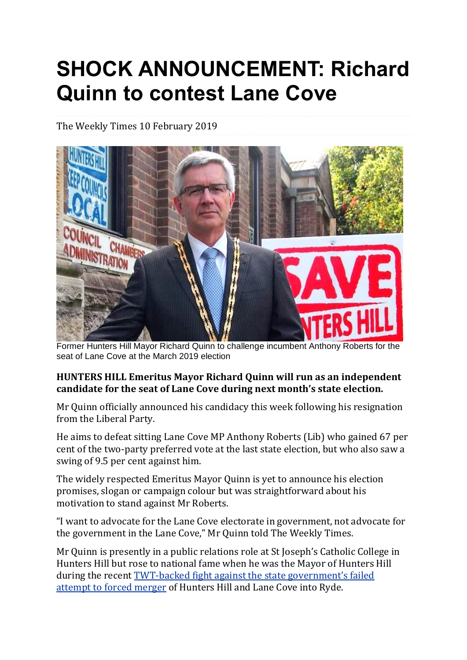## **SHOCK ANNOUNCEMENT: Richard Quinn to contest Lane Cove**

The Weekly Times 10 February 2019



Former Hunters Hill Mayor Richard Quinn to challenge incumbent Anthony Roberts for the seat of Lane Cove at the March 2019 election

## **HUNTERS HILL Emeritus Mayor Richard Quinn will run as an independent candidate for the seat of Lane Cove during next month's state election.**

Mr Quinn officially announced his candidacy this week following his resignation from the Liberal Party.

He aims to defeat sitting Lane Cove MP Anthony Roberts (Lib) who gained 67 per cent of the two-party preferred vote at the last state election, but who also saw a swing of 9.5 per cent against him.

The widely respected Emeritus Mayor Quinn is yet to announce his election promises, slogan or campaign colour but was straightforward about his motivation to stand against Mr Roberts.

"I want to advocate for the Lane Cove electorate in government, not advocate for the government in the Lane Cove," Mr Quinn told The Weekly Times.

Mr Quinn is presently in a public relations role at St Joseph's Catholic College in Hunters Hill but rose to national fame when he was the Mayor of Hunters Hill during the recent TWT-backed fight against the state [government's](https://weeklytimes.com.au/hunters-hill-celebrates-win-against-forced-mergers/) failed [attempt](https://weeklytimes.com.au/hunters-hill-celebrates-win-against-forced-mergers/) to forced merger of Hunters Hill and Lane Cove into Ryde.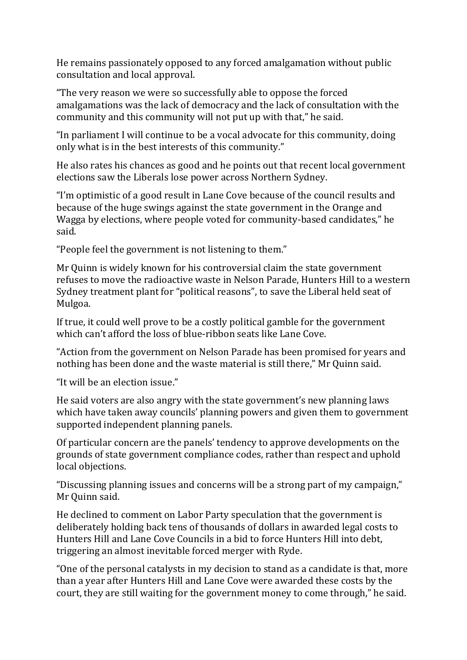He remains passionately opposed to any forced amalgamation without public consultation and local approval.

"The very reason we were so successfully able to oppose the forced amalgamations was the lack of democracy and the lack of consultation with the community and this community will not put up with that," he said.

"In parliament I will continue to be a vocal advocate for this community, doing only what is in the best interests of this community."

He also rates his chances as good and he points out that recent local government elections saw the Liberals lose power across Northern Sydney.

"I'm optimistic of a good result in Lane Cove because of the council results and because of the huge swings against the state government in the Orange and Wagga by elections, where people voted for community-based candidates," he said.

"People feel the government is not listening to them."

Mr Quinn is widely known for his controversial claim the state government refuses to move the radioactive waste in Nelson Parade, Hunters Hill to a western Sydney treatment plant for "political reasons", to save the Liberal held seat of Mulgoa.

If true, it could well prove to be a costly political gamble for the government which can't afford the loss of blue-ribbon seats like Lane Cove.

"Action from the government on Nelson Parade has been promised for years and nothing has been done and the waste material is still there," Mr Quinn said.

"It will be an election issue."

He said voters are also angry with the state government's new planning laws which have taken away councils' planning powers and given them to government supported independent planning panels.

Of particular concern are the panels' tendency to approve developments on the grounds of state government compliance codes, rather than respect and uphold local objections.

"Discussing planning issues and concerns will be a strong part of my campaign," Mr Quinn said.

He declined to comment on Labor Party speculation that the government is deliberately holding back tens of thousands of dollars in awarded legal costs to Hunters Hill and Lane Cove Councils in a bid to force Hunters Hill into debt, triggering an almost inevitable forced merger with Ryde.

"One of the personal catalysts in my decision to stand as a candidate is that, more than a year after Hunters Hill and Lane Cove were awarded these costs by the court, they are still waiting for the government money to come through," he said.